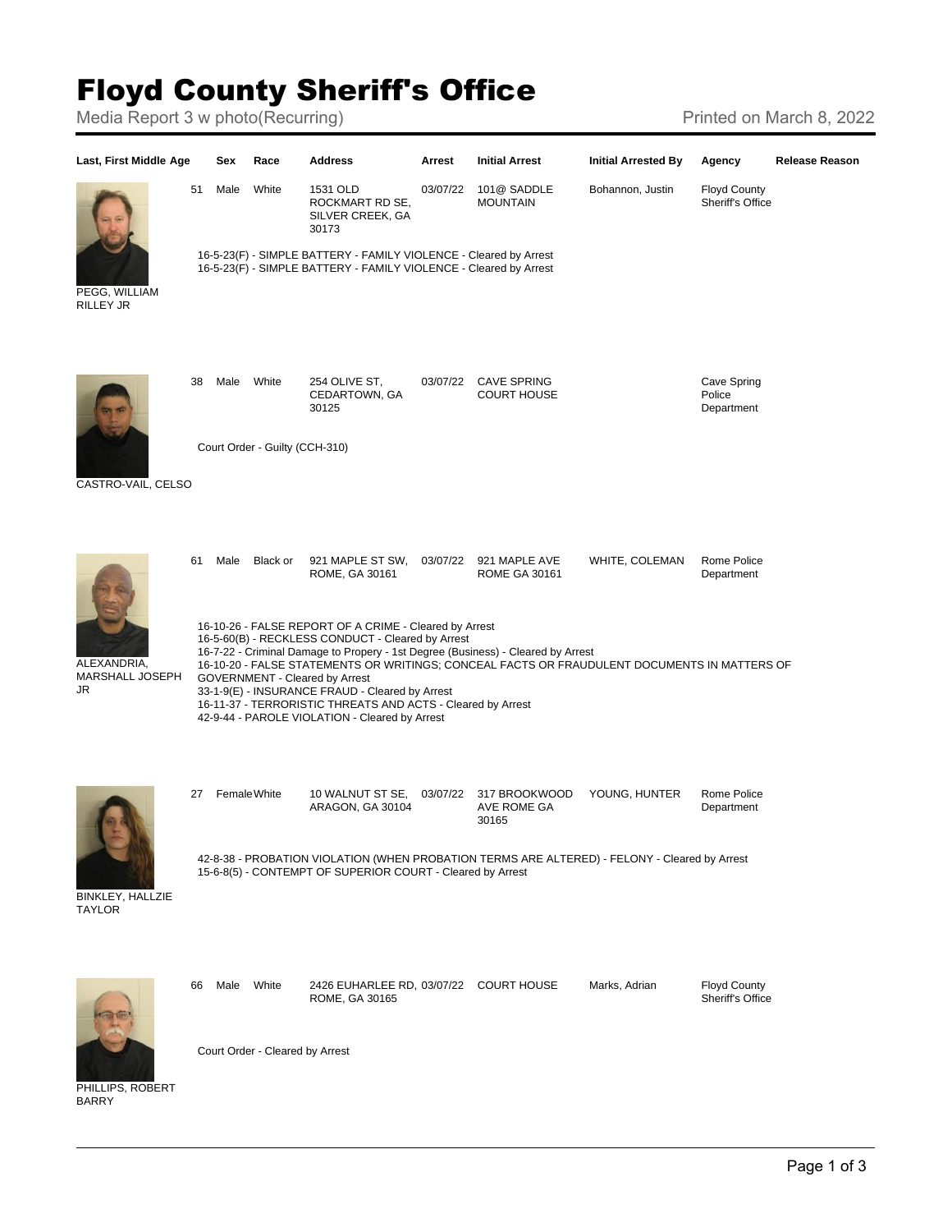## Floyd County Sheriff's Office

Media Report 3 w photo(Recurring) Media Report 3 w photo(Recurring)



Court Order - Cleared by Arrest

PHILLIPS, ROBERT BARRY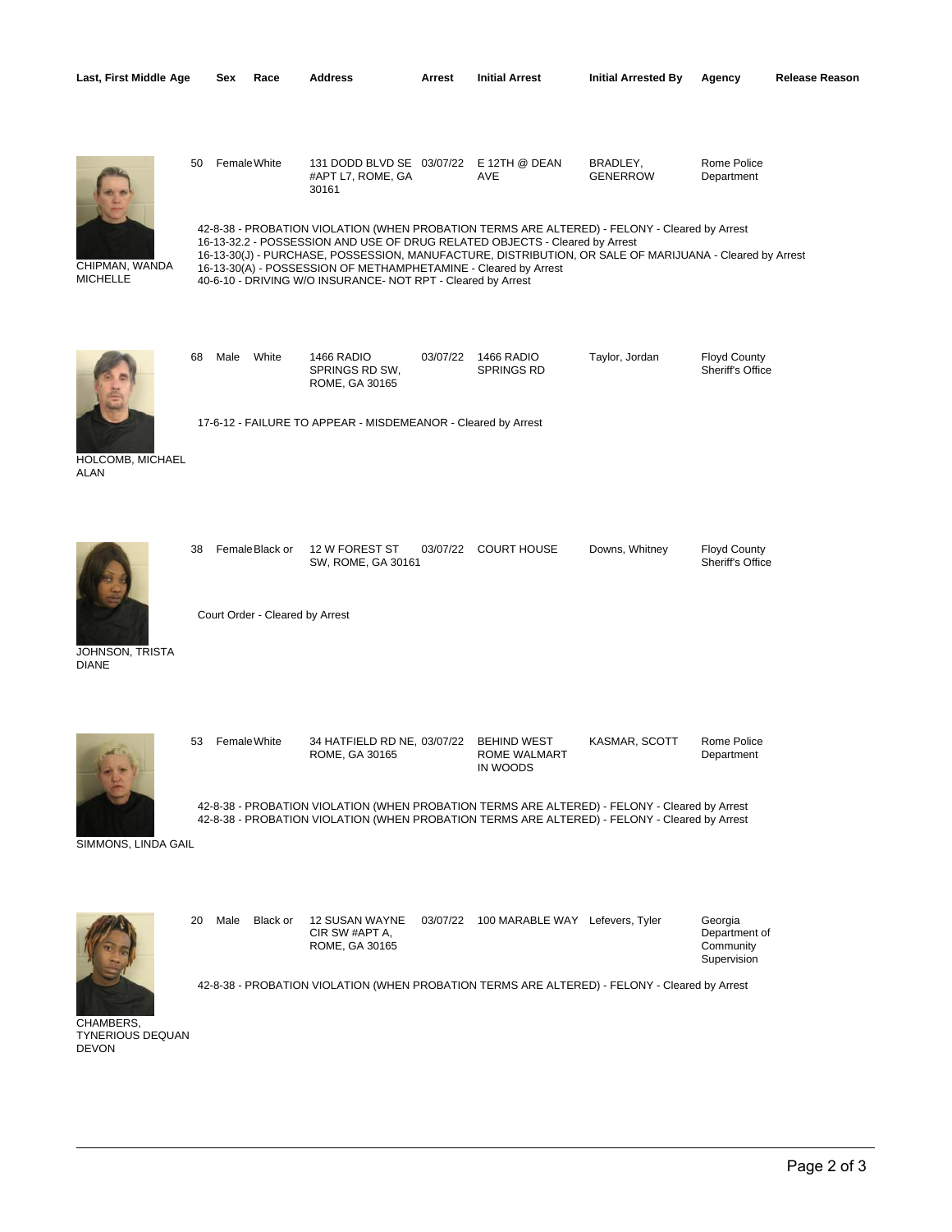| Last, First Middle Age            |    | Sex          | Race                                              | <b>Address</b>                                                                                                                                                                                                 | Arrest   | <b>Initial Arrest</b>                          | <b>Initial Arrested By</b>                                                                                                                                                                     | Agency                                               | Release Reason |
|-----------------------------------|----|--------------|---------------------------------------------------|----------------------------------------------------------------------------------------------------------------------------------------------------------------------------------------------------------------|----------|------------------------------------------------|------------------------------------------------------------------------------------------------------------------------------------------------------------------------------------------------|------------------------------------------------------|----------------|
|                                   | 50 | Female White |                                                   | 131 DODD BLVD SE 03/07/22 E 12TH @ DEAN<br>#APT L7, ROME, GA<br>30161                                                                                                                                          |          | AVE                                            | BRADLEY,<br><b>GENERROW</b><br>42-8-38 - PROBATION VIOLATION (WHEN PROBATION TERMS ARE ALTERED) - FELONY - Cleared by Arrest                                                                   | Rome Police<br>Department                            |                |
| CHIPMAN, WANDA<br><b>MICHELLE</b> |    |              |                                                   | 16-13-32.2 - POSSESSION AND USE OF DRUG RELATED OBJECTS - Cleared by Arrest<br>16-13-30(A) - POSSESSION OF METHAMPHETAMINE - Cleared by Arrest<br>40-6-10 - DRIVING W/O INSURANCE- NOT RPT - Cleared by Arrest |          |                                                | 16-13-30(J) - PURCHASE, POSSESSION, MANUFACTURE, DISTRIBUTION, OR SALE OF MARIJUANA - Cleared by Arrest                                                                                        |                                                      |                |
|                                   | 68 | Male         | White                                             | 1466 RADIO<br>SPRINGS RD SW,<br>ROME, GA 30165<br>17-6-12 - FAILURE TO APPEAR - MISDEMEANOR - Cleared by Arrest                                                                                                | 03/07/22 | 1466 RADIO<br><b>SPRINGS RD</b>                | Taylor, Jordan                                                                                                                                                                                 | <b>Floyd County</b><br>Sheriff's Office              |                |
| HOLCOMB, MICHAEL<br><b>ALAN</b>   |    |              |                                                   |                                                                                                                                                                                                                |          |                                                |                                                                                                                                                                                                |                                                      |                |
|                                   | 38 |              | FemaleBlack or<br>Court Order - Cleared by Arrest | 12 W FOREST ST<br>SW, ROME, GA 30161                                                                                                                                                                           |          | 03/07/22 COURT HOUSE                           | Downs, Whitney                                                                                                                                                                                 | <b>Floyd County</b><br>Sheriff's Office              |                |
| JOHNSON, TRISTA<br><b>DIANE</b>   |    |              |                                                   |                                                                                                                                                                                                                |          |                                                |                                                                                                                                                                                                |                                                      |                |
|                                   | 53 | Female White |                                                   | 34 HATFIELD RD NE, 03/07/22<br>ROME, GA 30165                                                                                                                                                                  |          | <b>BEHIND WEST</b><br>ROME WALMART<br>IN WOODS | KASMAR, SCOTT                                                                                                                                                                                  | Rome Police<br>Department                            |                |
| SIMMONS, LINDA GAIL               |    |              |                                                   |                                                                                                                                                                                                                |          |                                                | 42-8-38 - PROBATION VIOLATION (WHEN PROBATION TERMS ARE ALTERED) - FELONY - Cleared by Arrest<br>42-8-38 - PROBATION VIOLATION (WHEN PROBATION TERMS ARE ALTERED) - FELONY - Cleared by Arrest |                                                      |                |
|                                   | 20 | Male         | Black or                                          | 12 SUSAN WAYNE<br>CIR SW #APT A,<br>ROME, GA 30165                                                                                                                                                             |          | 03/07/22 100 MARABLE WAY Lefevers, Tyler       |                                                                                                                                                                                                | Georgia<br>Department of<br>Community<br>Supervision |                |

42-8-38 - PROBATION VIOLATION (WHEN PROBATION TERMS ARE ALTERED) - FELONY - Cleared by Arrest

CHAMBERS, TYNERIOUS DEQUAN DEVON